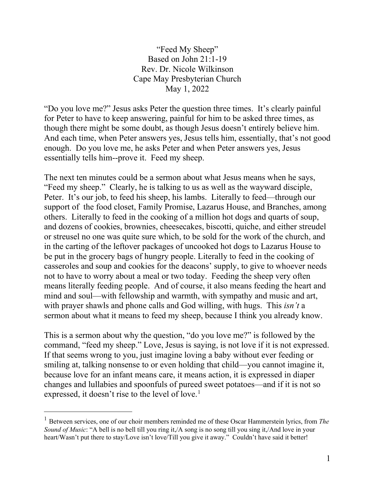"Feed My Sheep" Based on John 21:1-19 Rev. Dr. Nicole Wilkinson Cape May Presbyterian Church May 1, 2022

"Do you love me?" Jesus asks Peter the question three times. It's clearly painful for Peter to have to keep answering, painful for him to be asked three times, as though there might be some doubt, as though Jesus doesn't entirely believe him. And each time, when Peter answers yes, Jesus tells him, essentially, that's not good enough. Do you love me, he asks Peter and when Peter answers yes, Jesus essentially tells him--prove it. Feed my sheep.

The next ten minutes could be a sermon about what Jesus means when he says, "Feed my sheep." Clearly, he is talking to us as well as the wayward disciple, Peter. It's our job, to feed his sheep, his lambs. Literally to feed—through our support of the food closet, Family Promise, Lazarus House, and Branches, among others. Literally to feed in the cooking of a million hot dogs and quarts of soup, and dozens of cookies, brownies, cheesecakes, biscotti, quiche, and either streudel or streusel no one was quite sure which, to be sold for the work of the church, and in the carting of the leftover packages of uncooked hot dogs to Lazarus House to be put in the grocery bags of hungry people. Literally to feed in the cooking of casseroles and soup and cookies for the deacons' supply, to give to whoever needs not to have to worry about a meal or two today. Feeding the sheep very often means literally feeding people. And of course, it also means feeding the heart and mind and soul—with fellowship and warmth, with sympathy and music and art, with prayer shawls and phone calls and God willing, with hugs. This *isn't* a sermon about what it means to feed my sheep, because I think you already know.

This is a sermon about why the question, "do you love me?" is followed by the command, "feed my sheep." Love, Jesus is saying, is not love if it is not expressed. If that seems wrong to you, just imagine loving a baby without ever feeding or smiling at, talking nonsense to or even holding that child—you cannot imagine it, because love for an infant means care, it means action, it is expressed in diaper changes and lullabies and spoonfuls of pureed sweet potatoes—and if it is not so expressed, it doesn't rise to the level of love.<sup>[1](#page-0-0)</sup>

<span id="page-0-0"></span><sup>1</sup> Between services, one of our choir members reminded me of these Oscar Hammerstein lyrics, from *The Sound of Music*: "A bell is no bell till you ring it,/A song is no song till you sing it,/And love in your heart/Wasn't put there to stay/Love isn't love/Till you give it away." Couldn't have said it better!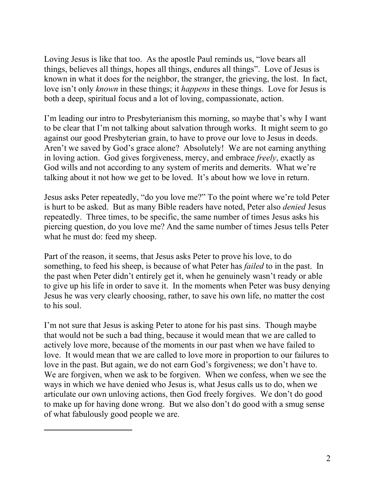Loving Jesus is like that too. As the apostle Paul reminds us, "love bears all things, believes all things, hopes all things, endures all things". Love of Jesus is known in what it does for the neighbor, the stranger, the grieving, the lost. In fact, love isn't only *known* in these things; it *happens* in these things. Love for Jesus is both a deep, spiritual focus and a lot of loving, compassionate, action.

I'm leading our intro to Presbyterianism this morning, so maybe that's why I want to be clear that I'm not talking about salvation through works. It might seem to go against our good Presbyterian grain, to have to prove our love to Jesus in deeds. Aren't we saved by God's grace alone? Absolutely! We are not earning anything in loving action. God gives forgiveness, mercy, and embrace *freely*, exactly as God wills and not according to any system of merits and demerits. What we're talking about it not how we get to be loved. It's about how we love in return.

Jesus asks Peter repeatedly, "do you love me?" To the point where we're told Peter is hurt to be asked. But as many Bible readers have noted, Peter also *denied* Jesus repeatedly. Three times, to be specific, the same number of times Jesus asks his piercing question, do you love me? And the same number of times Jesus tells Peter what he must do: feed my sheep.

Part of the reason, it seems, that Jesus asks Peter to prove his love, to do something, to feed his sheep, is because of what Peter has *failed* to in the past. In the past when Peter didn't entirely get it, when he genuinely wasn't ready or able to give up his life in order to save it. In the moments when Peter was busy denying Jesus he was very clearly choosing, rather, to save his own life, no matter the cost to his soul.

I'm not sure that Jesus is asking Peter to atone for his past sins. Though maybe that would not be such a bad thing, because it would mean that we are called to actively love more, because of the moments in our past when we have failed to love. It would mean that we are called to love more in proportion to our failures to love in the past. But again, we do not earn God's forgiveness; we don't have to. We are forgiven, when we ask to be forgiven. When we confess, when we see the ways in which we have denied who Jesus is, what Jesus calls us to do, when we articulate our own unloving actions, then God freely forgives. We don't do good to make up for having done wrong. But we also don't do good with a smug sense of what fabulously good people we are.